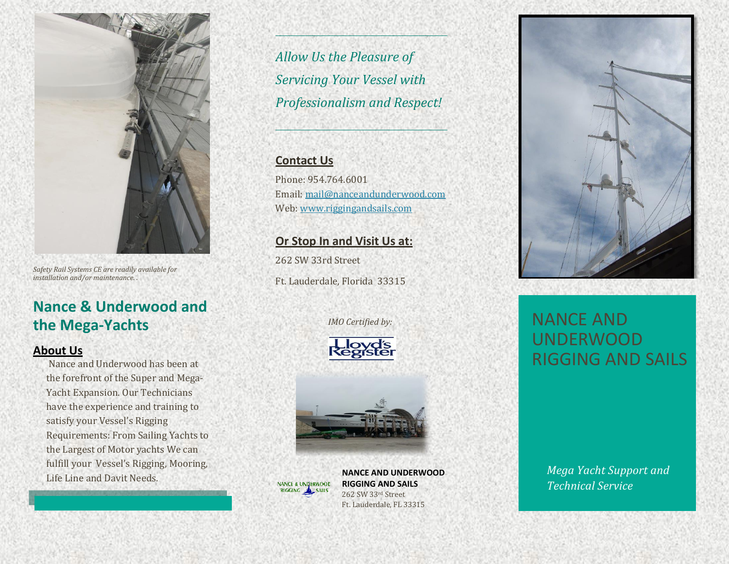

*Safety Rail Systems CE are readily available for installation and/or maintenance. .*

## **Nance & Underwood and the Mega-Yachts**

#### **About Us**

Nance and Underwood has been at the forefront of the Super and Mega-Yacht Expansion. Our Technicians have the experience and training to satisfy your Vessel's Rigging Requirements: From Sailing Yachts to the Largest of Motor yachts We can fulfill your Vessel's Rigging, Mooring, Life Line and Davit Needs.

*Allow Us the Pleasure of Servicing Your Vessel with Professionalism and Respect!*

#### **Contact Us**

Phone: 954.764.6001 Email[: mail@nanceandunderwood.com](mailto:mail@nanceandunderwood.com) Web: [www.riggingandsails.com](http://www.riggingandsails.com/)

### **Or Stop In and Visit Us at:**

262 SW 33rd Street Ft. Lauderdale, Florida 33315

Kegiste

 *IMO Certified by:*



**NANCE AND UNDERWOOD RIGGING AND SAILS** 262 SW 33rd Street Ft. Lauderdale, FL 33315



# NANCE AND UNDERWOOD RIGGING AND SAILS

*Mega Yacht Support and Technical Service*

*S*